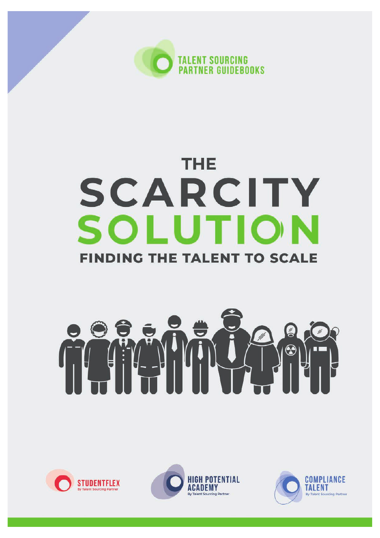

## **THE** SCARCITY SOLUTION **FINDING THE TALENT TO SCALE**

# 11 0





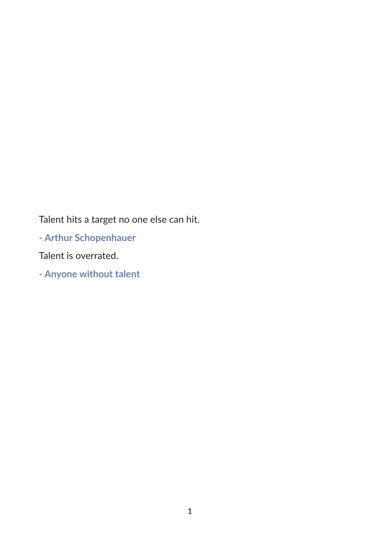Talent hits a target no one else can hit.

- Arthur Schopenhauer

Talent is overrated.

- Anyone without talent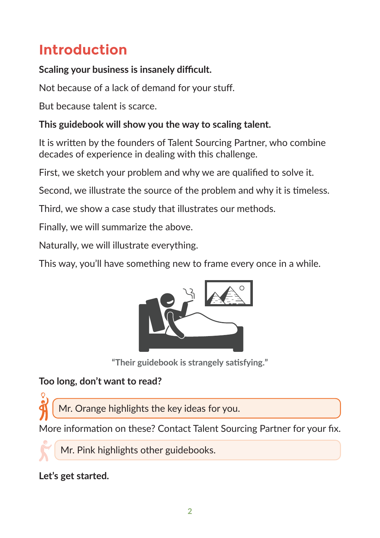### **Introduction**

**Scaling your business is insanely difficult.** 

Not because of a lack of demand for your stuf.

But because talent is scarce.

#### **This guidebook will show you the way to scaling talent.**

It is writen by the founders of Talent Sourcing Partner, who combine decades of experience in dealing with this challenge.

First, we sketch your problem and why we are qualifed to solve it.

Second, we illustrate the source of the problem and why it is timeless.

Third, we show a case study that illustrates our methods.

Finally, we will summarize the above.

Naturally, we will illustrate everything.

This way, you'll have something new to frame every once in a while.



**"Their guidebook is strangely satsfying."**

#### **Too long, don't want to read?**

Mr. Orange highlights the key ideas for you.

More information on these? Contact Talent Sourcing Partner for your fix.

Mr. Pink highlights other guidebooks.

#### **Let's get started.**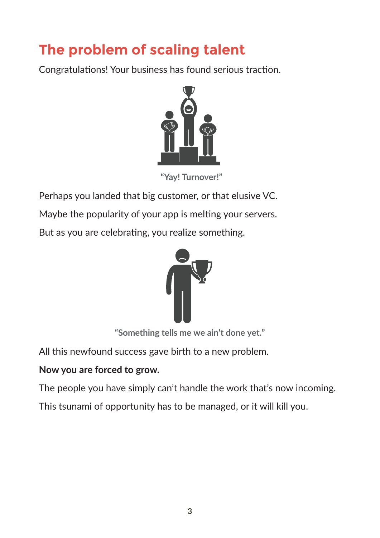## **The problem of scaling talent**

Congratulations! Your business has found serious traction.



"Yay! Turnover!"

Perhaps you landed that big customer, or that elusive VC.

Maybe the popularity of your app is melting your servers.

But as you are celebrating, you realize something.



"Something tells me we ain't done yet."

All this newfound success gave birth to a new problem.

#### **Now you are forced to grow.**

The people you have simply can't handle the work that's now incoming.

This tsunami of opportunity has to be managed, or it will kill you.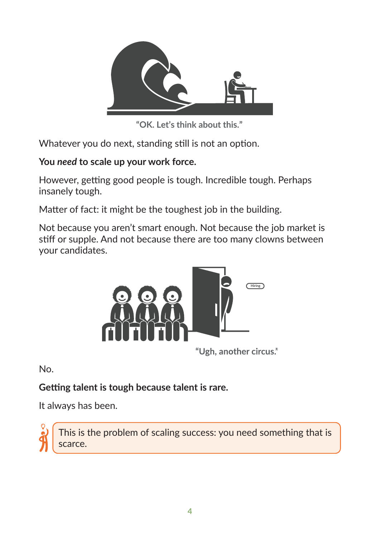

"OK. Let's think about this."

Whatever you do next, standing still is not an option.

#### You need to scale up your work force.

However, getting good people is tough. Incredible tough. Perhaps insanely tough.

Matter of fact: it might be the toughest job in the building.

Not because you aren't smart enough. Not because the job market is stiff or supple. And not because there are too many clowns between your candidates.



"Ugh, another circus."

No.

#### **Getting talent is tough because talent is rare.**

It always has been.



This is the problem of scaling success: you need something that is scarce.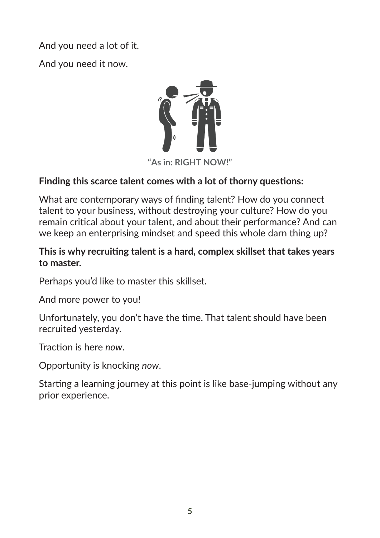And you need a lot of it.

And you need it now.



#### Finding this scarce talent comes with a lot of thorny questions:

What are contemporary ways of finding talent? How do you connect talent to your business, without destroying your culture? How do you remain critical about your talent, and about their performance? And can we keep an enterprising mindset and speed this whole darn thing up?

#### This is why recruiting talent is a hard, complex skillset that takes years to master.

Perhaps you'd like to master this skillset.

And more power to you!

Unfortunately, you don't have the time. That talent should have been recruited yesterday.

Traction is here now.

Opportunity is knocking now.

Starting a learning journey at this point is like base-jumping without any prior experience.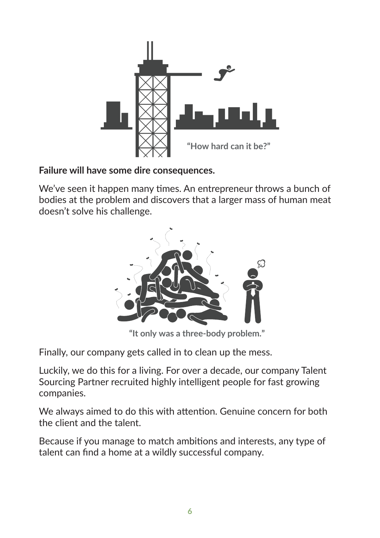

#### **Failure will have some dire consequences.**

We've seen it happen many times. An entrepreneur throws a bunch of bodies at the problem and discovers that a larger mass of human meat doesn't solve his challenge.



"It only was a three-body problem."

Finally, our company gets called in to clean up the mess.

Luckily, we do this for a living. For over a decade, our company Talent Sourcing Partner recruited highly intelligent people for fast growing companies.

We always aimed to do this with attention. Genuine concern for both the client and the talent.

Because if you manage to match ambitions and interests, any type of talent can fnd a home at a wildly successful company.